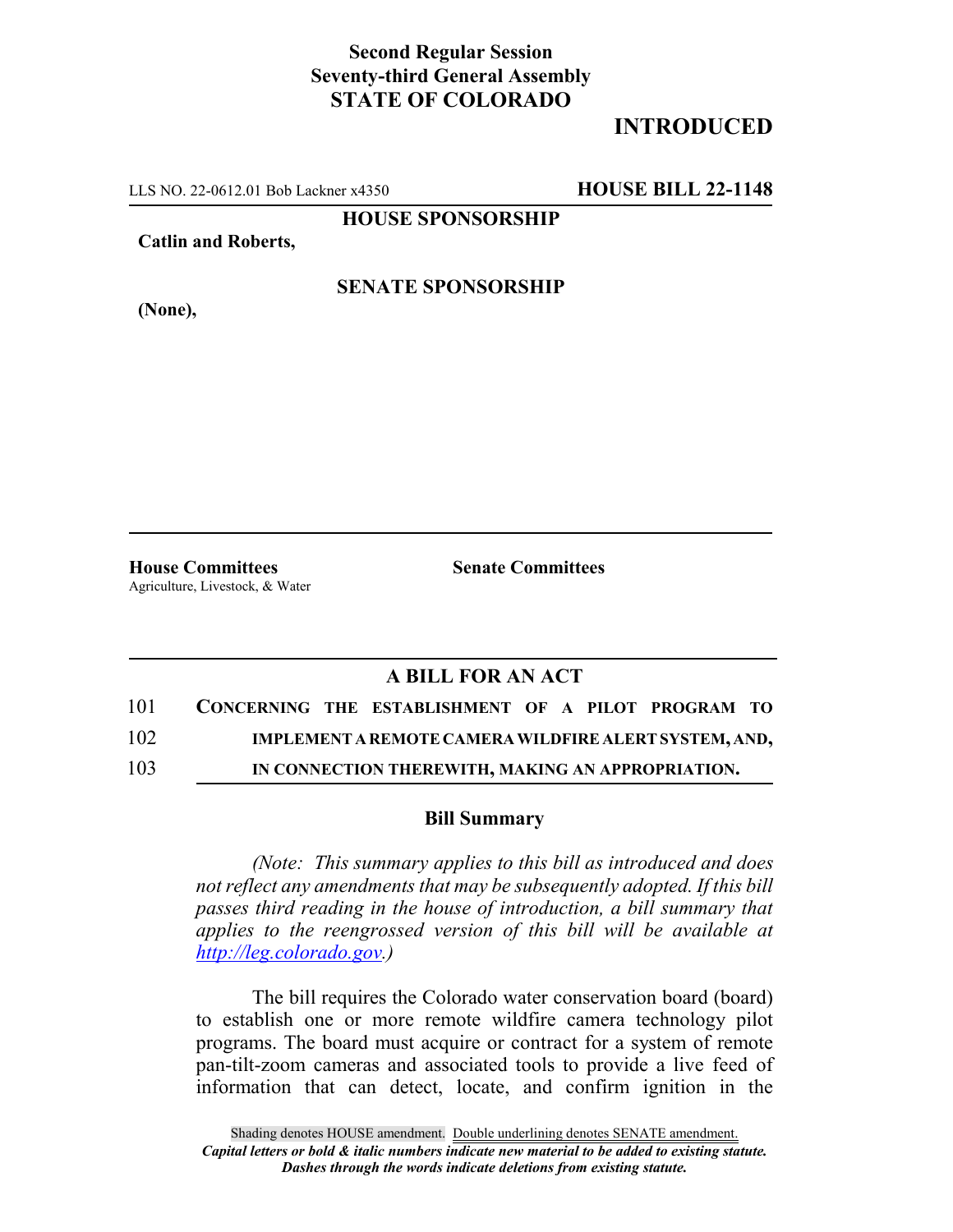## **Second Regular Session Seventy-third General Assembly STATE OF COLORADO**

## **INTRODUCED**

LLS NO. 22-0612.01 Bob Lackner x4350 **HOUSE BILL 22-1148**

**HOUSE SPONSORSHIP**

**Catlin and Roberts,**

**SENATE SPONSORSHIP**

**(None),**

**House Committees Senate Committees** Agriculture, Livestock, & Water

## **A BILL FOR AN ACT**

| 101 |  | CONCERNING THE ESTABLISHMENT OF A PILOT PROGRAM TO    |  |  |  |
|-----|--|-------------------------------------------------------|--|--|--|
| 102 |  | IMPLEMENT A REMOTE CAMERA WILDFIRE ALERT SYSTEM, AND, |  |  |  |

103 **IN CONNECTION THEREWITH, MAKING AN APPROPRIATION.**

## **Bill Summary**

*(Note: This summary applies to this bill as introduced and does not reflect any amendments that may be subsequently adopted. If this bill passes third reading in the house of introduction, a bill summary that applies to the reengrossed version of this bill will be available at http://leg.colorado.gov.)*

The bill requires the Colorado water conservation board (board) to establish one or more remote wildfire camera technology pilot programs. The board must acquire or contract for a system of remote pan-tilt-zoom cameras and associated tools to provide a live feed of information that can detect, locate, and confirm ignition in the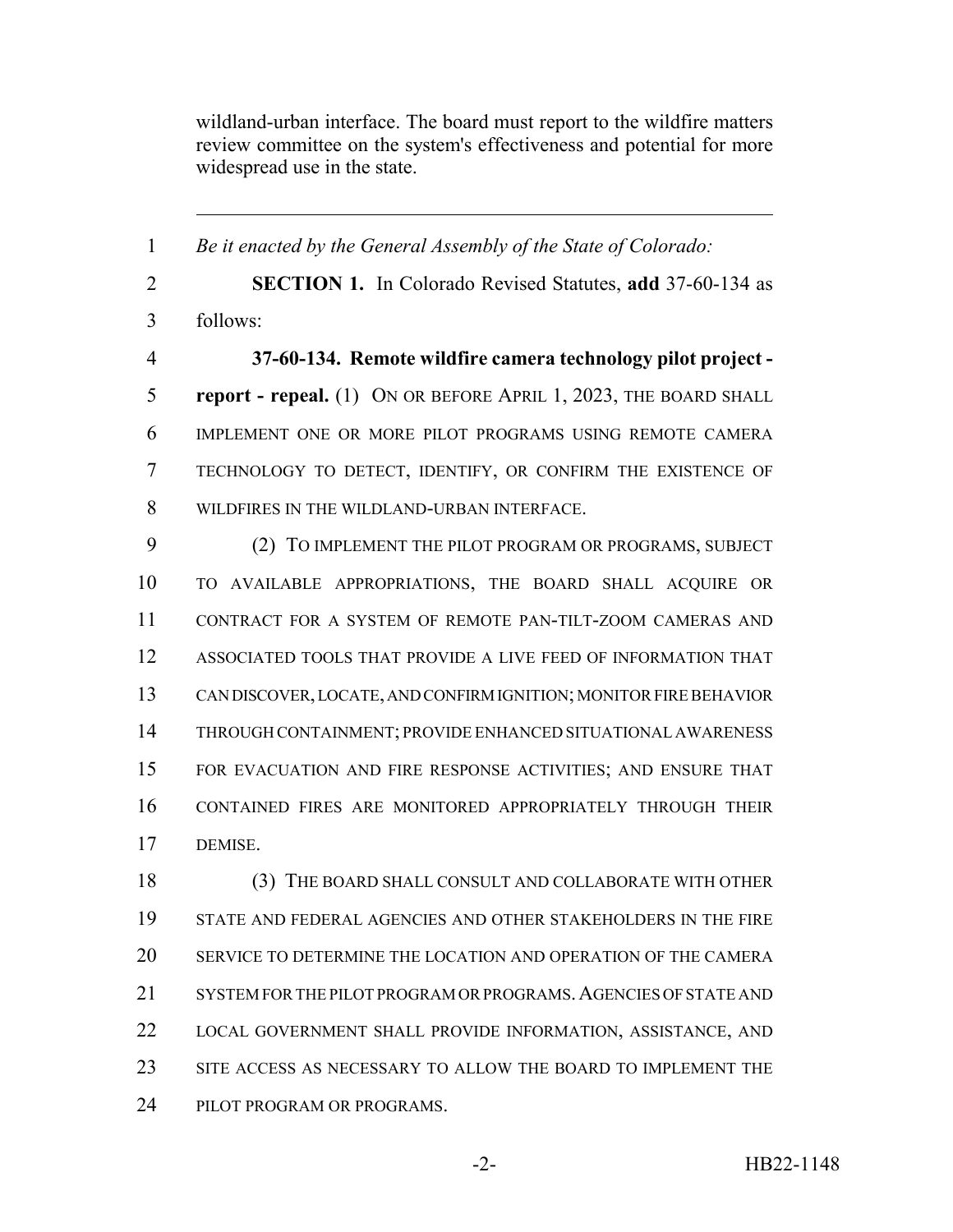wildland-urban interface. The board must report to the wildfire matters review committee on the system's effectiveness and potential for more widespread use in the state.

 *Be it enacted by the General Assembly of the State of Colorado:* **SECTION 1.** In Colorado Revised Statutes, **add** 37-60-134 as follows: **37-60-134. Remote wildfire camera technology pilot project - report - repeal.** (1) ON OR BEFORE APRIL 1, 2023, THE BOARD SHALL IMPLEMENT ONE OR MORE PILOT PROGRAMS USING REMOTE CAMERA TECHNOLOGY TO DETECT, IDENTIFY, OR CONFIRM THE EXISTENCE OF WILDFIRES IN THE WILDLAND-URBAN INTERFACE. (2) TO IMPLEMENT THE PILOT PROGRAM OR PROGRAMS, SUBJECT TO AVAILABLE APPROPRIATIONS, THE BOARD SHALL ACQUIRE OR CONTRACT FOR A SYSTEM OF REMOTE PAN-TILT-ZOOM CAMERAS AND ASSOCIATED TOOLS THAT PROVIDE A LIVE FEED OF INFORMATION THAT CAN DISCOVER, LOCATE, AND CONFIRM IGNITION; MONITOR FIRE BEHAVIOR THROUGH CONTAINMENT; PROVIDE ENHANCED SITUATIONAL AWARENESS FOR EVACUATION AND FIRE RESPONSE ACTIVITIES; AND ENSURE THAT CONTAINED FIRES ARE MONITORED APPROPRIATELY THROUGH THEIR DEMISE. (3) THE BOARD SHALL CONSULT AND COLLABORATE WITH OTHER STATE AND FEDERAL AGENCIES AND OTHER STAKEHOLDERS IN THE FIRE SERVICE TO DETERMINE THE LOCATION AND OPERATION OF THE CAMERA 21 SYSTEM FOR THE PILOT PROGRAM OR PROGRAMS. AGENCIES OF STATE AND

 SITE ACCESS AS NECESSARY TO ALLOW THE BOARD TO IMPLEMENT THE PILOT PROGRAM OR PROGRAMS.

LOCAL GOVERNMENT SHALL PROVIDE INFORMATION, ASSISTANCE, AND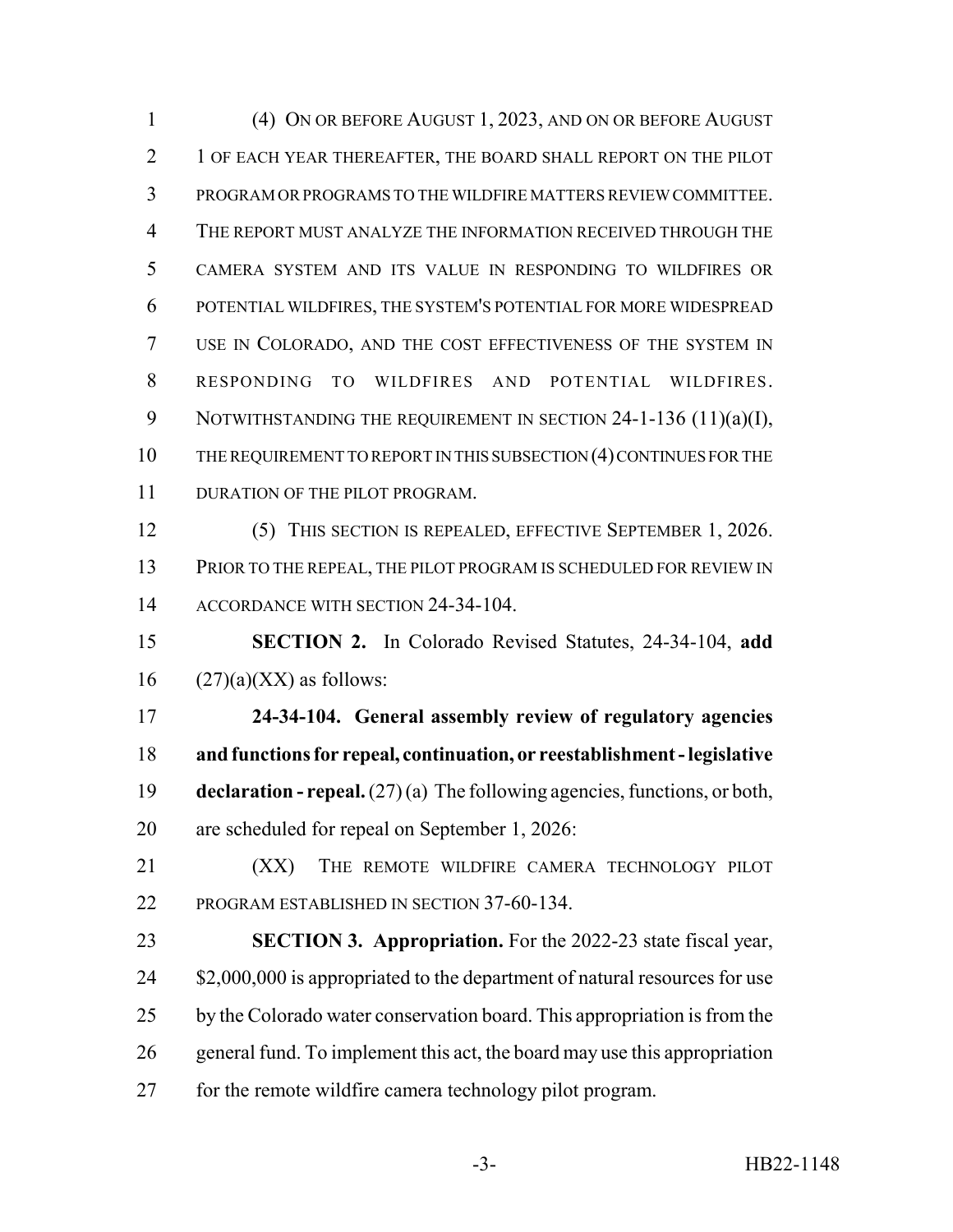(4) ON OR BEFORE AUGUST 1, 2023, AND ON OR BEFORE AUGUST 2 1 OF EACH YEAR THEREAFTER, THE BOARD SHALL REPORT ON THE PILOT PROGRAM OR PROGRAMS TO THE WILDFIRE MATTERS REVIEW COMMITTEE. THE REPORT MUST ANALYZE THE INFORMATION RECEIVED THROUGH THE CAMERA SYSTEM AND ITS VALUE IN RESPONDING TO WILDFIRES OR POTENTIAL WILDFIRES, THE SYSTEM'S POTENTIAL FOR MORE WIDESPREAD USE IN COLORADO, AND THE COST EFFECTIVENESS OF THE SYSTEM IN RESPONDING TO WILDFIRES AND POTENTIAL WILDFIRES. 9 NOTWITHSTANDING THE REQUIREMENT IN SECTION 24-1-136 (11)(a)(I), 10 THE REQUIREMENT TO REPORT IN THIS SUBSECTION (4) CONTINUES FOR THE 11 DURATION OF THE PILOT PROGRAM. (5) THIS SECTION IS REPEALED, EFFECTIVE SEPTEMBER 1, 2026.

13 PRIOR TO THE REPEAL, THE PILOT PROGRAM IS SCHEDULED FOR REVIEW IN 14 ACCORDANCE WITH SECTION 24-34-104.

 **SECTION 2.** In Colorado Revised Statutes, 24-34-104, **add** 16  $(27)(a)(XX)$  as follows:

 **24-34-104. General assembly review of regulatory agencies and functions for repeal, continuation, or reestablishment - legislative declaration - repeal.** (27) (a) The following agencies, functions, or both, are scheduled for repeal on September 1, 2026:

21 (XX) THE REMOTE WILDFIRE CAMERA TECHNOLOGY PILOT PROGRAM ESTABLISHED IN SECTION 37-60-134.

 **SECTION 3. Appropriation.** For the 2022-23 state fiscal year, 24 \$2,000,000 is appropriated to the department of natural resources for use 25 by the Colorado water conservation board. This appropriation is from the general fund. To implement this act, the board may use this appropriation for the remote wildfire camera technology pilot program.